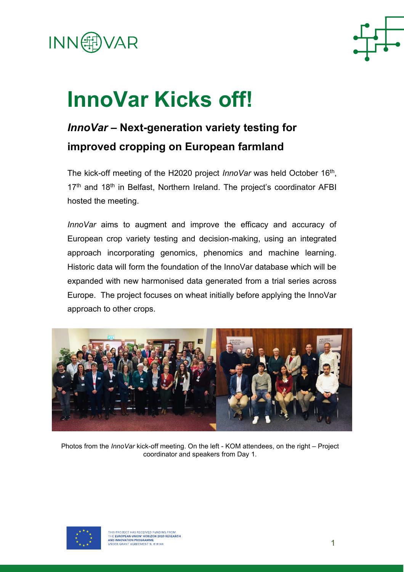



## **InnoVar Kicks off!**

## *InnoVar* **– Next-generation variety testing for improved cropping on European farmland**

The kick-off meeting of the H2020 project *InnoVar* was held October 16<sup>th</sup>, 17<sup>th</sup> and 18<sup>th</sup> in Belfast, Northern Ireland. The project's coordinator AFBI hosted the meeting.

*InnoVar* aims to augment and improve the efficacy and accuracy of European crop variety testing and decision-making, using an integrated approach incorporating genomics, phenomics and machine learning. Historic data will form the foundation of the InnoVar database which will be expanded with new harmonised data generated from a trial series across Europe. The project focuses on wheat initially before applying the InnoVar approach to other crops.



Photos from the *InnoVar* kick-off meeting. On the left - KOM attendees, on the right – Project coordinator and speakers from Day 1.